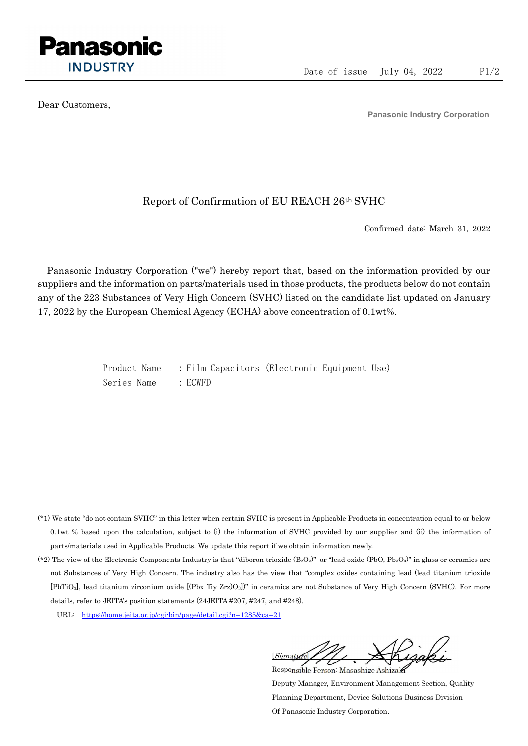

Dear Customers,

Panasonic Industry Corporation

## Report of Confirmation of EU REACH 26th SVHC

Confirmed date: March 31, 2022

Panasonic Industry Corporation ("we") hereby report that, based on the information provided by our suppliers and the information on parts/materials used in those products, the products below do not contain any of the 223 Substances of Very High Concern (SVHC) listed on the candidate list updated on January 17, 2022 by the European Chemical Agency (ECHA) above concentration of 0.1wt%.

> Product Name : Film Capacitors (Electronic Equipment Use) Series Name : ECWFD

- (\*1) We state "do not contain SVHC" in this letter when certain SVHC is present in Applicable Products in concentration equal to or below 0.1wt % based upon the calculation, subject to (i) the information of SVHC provided by our supplier and (ii) the information of parts/materials used in Applicable Products. We update this report if we obtain information newly.
- (\*2) The view of the Electronic Components Industry is that "diboron trioxide  $(B_2O_3)$ ", or "lead oxide (PbO, Pb<sub>3</sub>O<sub>4</sub>)" in glass or ceramics are not Substances of Very High Concern. The industry also has the view that "complex oxides containing lead (lead titanium trioxide [PbTiO3], lead titanium zirconium oxide [(Pbx Tiy Zrz)O3])" in ceramics are not Substance of Very High Concern (SVHC). For more details, refer to JEITA's position statements (24JEITA #207, #247, and #248).
	- URL: https://home.jeita.or.jp/cgi-bin/page/detail.cgi?n=1285&ca=21

[Signature] Responsible Person: Masashige Ashizaki

Deputy Manager, Environment Management Section, Quality Planning Department, Device Solutions Business Division Of Panasonic Industry Corporation.